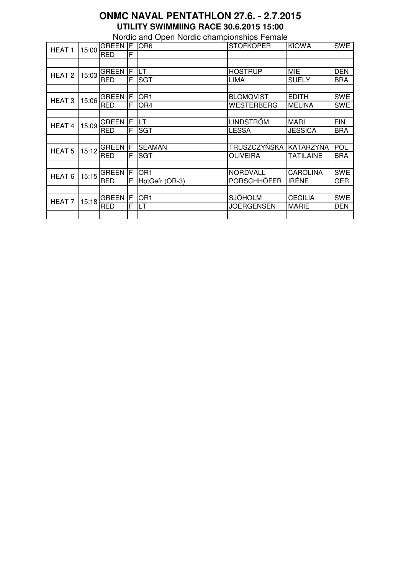## **ONMC NAVAL PENTATHLON 27.6. - 2.7.2015 UTILITY SWIMMIING RACE 30.6.2015 15:00**

Nordic and Open Nordic championships Female

| <b>HEAT1</b>      |       | <b>GREEN</b> | IF. | OR <sub>6</sub> | <b>STOFKOPER</b>  | <b>KIOWA</b>     | <b>SWE</b> |
|-------------------|-------|--------------|-----|-----------------|-------------------|------------------|------------|
|                   | 15:00 | <b>RED</b>   | F   |                 |                   |                  |            |
|                   |       |              |     |                 |                   |                  |            |
| HEAT <sub>2</sub> | 15:03 | <b>GREEN</b> | F   | LT              | <b>HOSTRUP</b>    | <b>MIE</b>       | <b>DEN</b> |
|                   |       | <b>RED</b>   | F   | <b>SGT</b>      | LIMA              | <b>SUELY</b>     | <b>BRA</b> |
|                   |       |              |     |                 |                   |                  |            |
| HEAT <sub>3</sub> | 15:06 | <b>GREEN</b> | F   | OR <sub>1</sub> | <b>BLOMQVIST</b>  | <b>EDITH</b>     | <b>SWE</b> |
|                   |       | <b>RED</b>   | F   | OR <sub>4</sub> | WESTERBERG        | <b>MELINA</b>    | <b>SWE</b> |
|                   |       |              |     |                 |                   |                  |            |
| <b>HEAT4</b>      | 15:09 | <b>GREEN</b> | IF  | LT              | LINDSTRÖM         | <b>MARI</b>      | <b>FIN</b> |
|                   |       | <b>RED</b>   | F   | <b>SGT</b>      | <b>LESSA</b>      | <b>JESSICA</b>   | <b>BRA</b> |
|                   |       |              |     |                 |                   |                  |            |
| <b>HEAT 5</b>     | 15:12 | <b>GREEN</b> | F   | <b>SEAMAN</b>   | TRUSZCZYŃSKA      | <b>KATARZYNA</b> | <b>POL</b> |
|                   |       | <b>RED</b>   | F   | <b>SGT</b>      | OLIVEIRA          | <b>TATILAINE</b> | <b>BRA</b> |
|                   |       |              |     |                 |                   |                  |            |
| HEAT <sub>6</sub> | 15:15 | <b>GREEN</b> | F   | OR <sub>1</sub> | NORDVALL          | <b>CAROLINA</b>  | <b>SWE</b> |
|                   |       | <b>RED</b>   | F   | HptGefr (OR-3)  | PORSCHHÖFER       | <b>IRENE</b>     | <b>GER</b> |
|                   |       |              |     |                 |                   |                  |            |
| HEAT <sub>7</sub> | 15:18 | <b>GREEN</b> | F   | OR <sub>1</sub> | <b>SJÖHOLM</b>    | <b>CECILIA</b>   | <b>SWE</b> |
|                   |       | <b>RED</b>   | F   | LT              | <b>JOERGENSEN</b> | <b>MARIE</b>     | <b>DEN</b> |
|                   |       |              |     |                 |                   |                  |            |